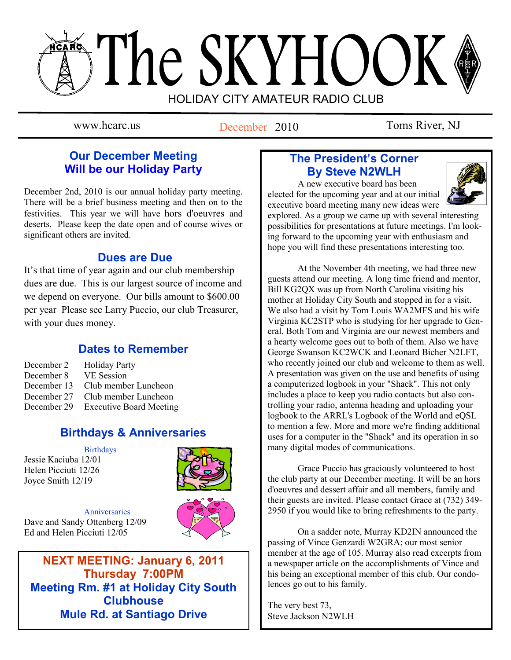# The SKYHOOK HOLIDAY CITY AMATEUR RADIO CLUB

December 2010

www.hcarc.us December 2010 Toms River, NJ

# **Our December Meeting Will be our Holiday Party**

December 2nd, 2010 is our annual holiday party meeting. There will be a brief business meeting and then on to the festivities. This year we will have hors d'oeuvres and deserts. Please keep the date open and of course wives or significant others are invited.

# **Dues are Due**

It's that time of year again and our club membership dues are due. This is our largest source of income and we depend on everyone. Our bills amount to \$600.00 per year Please see Larry Puccio, our club Treasurer, with your dues money.

# **Dates to Remember**

| December 2  | <b>Holiday Party</b>           |
|-------------|--------------------------------|
| December 8  | <b>VE</b> Session              |
| December 13 | Club member Luncheon           |
| December 27 | Club member Luncheon           |
| December 29 | <b>Executive Board Meeting</b> |

# **Birthdays & Anniversaries**

### Birthdays

Jessie Kaciuba 12/01 Helen Picciuti 12/26 Joyce Smith 12/19



Anniversaries Dave and Sandy Ottenberg 12/09 Ed and Helen Picciuti 12/05



**NEXT MEETING: January 6, 2011 Thursday 7:00PM Meeting Rm. #1 at Holiday City South Clubhouse Mule Rd. at Santiago Drive**

# **The President's Corner By Steve N2WLH**



A new executive board has been elected for the upcoming year and at our initial executive board meeting many new ideas were

explored. As a group we came up with several interesting possibilities for presentations at future meetings. I'm looking forward to the upcoming year with enthusiasm and hope you will find these presentations interesting too.

At the November 4th meeting, we had three new guests attend our meeting. A long time friend and mentor, Bill KG2QX was up from North Carolina visiting his mother at Holiday City South and stopped in for a visit. We also had a visit by Tom Louis WA2MFS and his wife Virginia KC2STP who is studying for her upgrade to General. Both Tom and Virginia are our newest members and a hearty welcome goes out to both of them. Also we have George Swanson KC2WCK and Leonard Bicher N2LFT, who recently joined our club and welcome to them as well. A presentation was given on the use and benefits of using a computerized logbook in your "Shack". This not only includes a place to keep you radio contacts but also controlling your radio, antenna heading and uploading your logbook to the ARRL's Logbook of the World and eQSL to mention a few. More and more we're finding additional uses for a computer in the "Shack" and its operation in so many digital modes of communications.

Grace Puccio has graciously volunteered to host the club party at our December meeting. It will be an hors d'oeuvres and dessert affair and all members, family and their guests are invited. Please contact Grace at (732) 349- 2950 if you would like to bring refreshments to the party.

On a sadder note, Murray KD2IN announced the passing of Vince Genzardi W2GRA; our most senior member at the age of 105. Murray also read excerpts from a newspaper article on the accomplishments of Vince and his being an exceptional member of this club. Our condolences go out to his family.

The very best 73, Steve Jackson N2WLH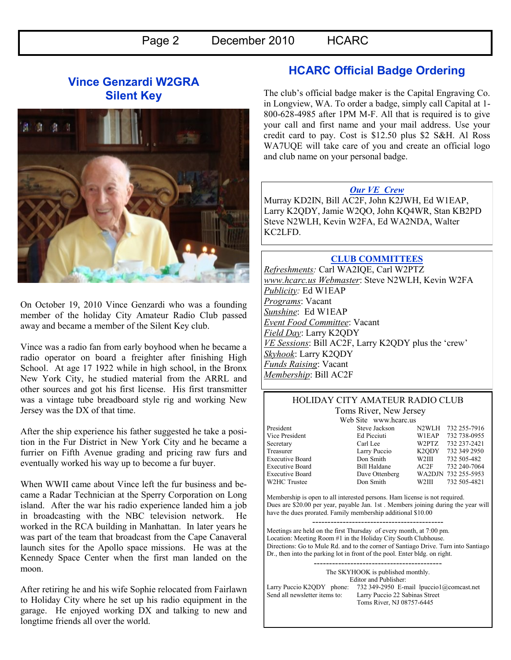## **Vince Genzardi W2GRA Silent Key**



On October 19, 2010 Vince Genzardi who was a founding member of the holiday City Amateur Radio Club passed away and became a member of the Silent Key club.

Vince was a radio fan from early boyhood when he became a radio operator on board a freighter after finishing High School. At age 17 1922 while in high school, in the Bronx New York City, he studied material from the ARRL and other sources and got his first license. His first transmitter was a vintage tube breadboard style rig and working New Jersey was the DX of that time.

After the ship experience his father suggested he take a position in the Fur District in New York City and he became a furrier on Fifth Avenue grading and pricing raw furs and eventually worked his way up to become a fur buyer.

When WWII came about Vince left the fur business and became a Radar Technician at the Sperry Corporation on Long island. After the war his radio experience landed him a job in broadcasting with the NBC television network. He worked in the RCA building in Manhattan. In later years he was part of the team that broadcast from the Cape Canaveral launch sites for the Apollo space missions. He was at the Kennedy Space Center when the first man landed on the moon.

After retiring he and his wife Sophie relocated from Fairlawn to Holiday City where he set up his radio equipment in the garage. He enjoyed working DX and talking to new and longtime friends all over the world.

# **HCARC Official Badge Ordering**

The club"s official badge maker is the Capital Engraving Co. in Longview, WA. To order a badge, simply call Capital at 1- 800-628-4985 after 1PM M-F. All that is required is to give your call and first name and your mail address. Use your credit card to pay. Cost is \$12.50 plus \$2 S&H. Al Ross WA7UQE will take care of you and create an official logo and club name on your personal badge.

#### *Our VE Crew*

Murray KD2IN, Bill AC2F, John K2JWH, Ed W1EAP, Larry K2QDY, Jamie W2QO, John KQ4WR, Stan KB2PD Steve N2WLH, Kevin W2FA, Ed WA2NDA, Walter KC2LFD.

## **CLUB COMMITTEES**

*Refreshments:* Carl WA2IQE, Carl W2PTZ *www.hcarc.us Webmaster*: Steve N2WLH, Kevin W2FA *Publicity:* Ed W1EAP *Programs*: Vacant *Sunshine*: Ed W1EAP *Event Food Committee*: Vacant *Field Day*: Larry K2QDY *VE Sessions*: Bill AC2F, Larry K2QDY plus the 'crew' *Skyhook*: Larry K2QDY *Funds Raising*: Vacant *Membership*: Bill AC2F

#### HOLIDAY CITY AMATEUR RADIO CLUB Toms River, New Jersey

| President              |
|------------------------|
| Vice President         |
| Secretary              |
| Treasurer              |
| <b>Executive Board</b> |
| <b>Executive Board</b> |
| <b>Executive Board</b> |
| W2HC Trustee           |
|                        |

Web Site www.hcarc.us Steve Jackson N2WLH 732 255-7916 Ed Picciuti W1EAP 732 738-0955<br>Carl Lee W2PTZ 732 237-2421 W2PTZ 732 237-2421  $Larrow$  Puccio  $K2ODY$  732 349 2950 Don Smith W2III 732 505-482 Bill Haldane AC2F 732 240-7064<br>Dave Ottenberg WA2DJN 732 255-5953 WA2DJN 732 255-5953 Don Smith W2III 732 505-4821

Membership is open to all interested persons. Ham license is not required. Dues are \$20.00 per year, payable Jan. 1st . Members joining during the year will have the dues prorated. Family membership additional \$10.00

------------------------------------------- Meetings are held on the first Thursday of every month, at 7:00 pm. Location: Meeting Room #1 in the Holiday City South Clubhouse. Directions: Go to Mule Rd. and to the corner of Santiago Drive. Turn into Santiago Dr., then into the parking lot in front of the pool. Enter bldg. on right.

------------------------------------------ The SKYHOOK is published monthly. Editor and Publisher:<br>Larry Puccio K2QDY phone: 732 349-2950 E-m 732 349-2950 E-mail lpuccio $\alpha$ comcast.net Send all newsletter items to: Larry Puccio 22 Sabinas Street Toms River, NJ 08757-6445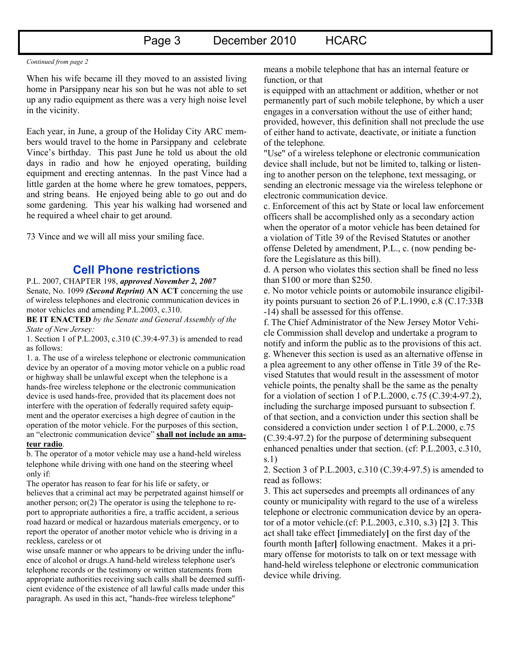#### *Continued from page 2*

When his wife became ill they moved to an assisted living home in Parsippany near his son but he was not able to set up any radio equipment as there was a very high noise level in the vicinity.

Each year, in June, a group of the Holiday City ARC members would travel to the home in Parsippany and celebrate Vince"s birthday. This past June he told us about the old days in radio and how he enjoyed operating, building equipment and erecting antennas. In the past Vince had a little garden at the home where he grew tomatoes, peppers, and string beans. He enjoyed being able to go out and do some gardening. This year his walking had worsened and he required a wheel chair to get around.

73 Vince and we will all miss your smiling face.

## **Cell Phone restrictions**

P.L. 2007, CHAPTER 198, *approved November 2, 2007* Senate, No. 1099 *(Second Reprint)* **AN ACT** concerning the use of wireless telephones and electronic communication devices in motor vehicles and amending P.L.2003, c.310.

**BE IT ENACTED** *by the Senate and General Assembly of the State of New Jersey:*

1. Section 1 of P.L.2003, c.310 (C.39:4-97.3) is amended to read as follows:

1. a. The use of a wireless telephone or electronic communication device by an operator of a moving motor vehicle on a public road or highway shall be unlawful except when the telephone is a hands-free wireless telephone or the electronic communication device is used hands-free, provided that its placement does not interfere with the operation of federally required safety equipment and the operator exercises a high degree of caution in the operation of the motor vehicle. For the purposes of this section, an "electronic communication device" **shall not include an amateur radio**.

b. The operator of a motor vehicle may use a hand-held wireless telephone while driving with one hand on the steering wheel only if:

The operator has reason to fear for his life or safety, or believes that a criminal act may be perpetrated against himself or another person; or(2) The operator is using the telephone to report to appropriate authorities a fire, a traffic accident, a serious road hazard or medical or hazardous materials emergency, or to report the operator of another motor vehicle who is driving in a reckless, careless or ot

wise unsafe manner or who appears to be driving under the influence of alcohol or drugs.A hand-held wireless telephone user's telephone records or the testimony or written statements from appropriate authorities receiving such calls shall be deemed sufficient evidence of the existence of all lawful calls made under this paragraph. As used in this act, "hands-free wireless telephone"

means a mobile telephone that has an internal feature or function, or that

is equipped with an attachment or addition, whether or not permanently part of such mobile telephone, by which a user engages in a conversation without the use of either hand; provided, however, this definition shall not preclude the use of either hand to activate, deactivate, or initiate a function of the telephone.

"Use" of a wireless telephone or electronic communication device shall include, but not be limited to, talking or listening to another person on the telephone, text messaging, or sending an electronic message via the wireless telephone or electronic communication device.

c. Enforcement of this act by State or local law enforcement officers shall be accomplished only as a secondary action when the operator of a motor vehicle has been detained for a violation of Title 39 of the Revised Statutes or another offense Deleted by amendment, P.L., c. (now pending before the Legislature as this bill).

d. A person who violates this section shall be fined no less than \$100 or more than \$250.

e. No motor vehicle points or automobile insurance eligibility points pursuant to section 26 of P.L.1990, c.8 (C.17:33B -14) shall be assessed for this offense.

f. The Chief Administrator of the New Jersey Motor Vehicle Commission shall develop and undertake a program to notify and inform the public as to the provisions of this act. g. Whenever this section is used as an alternative offense in a plea agreement to any other offense in Title 39 of the Revised Statutes that would result in the assessment of motor vehicle points, the penalty shall be the same as the penalty for a violation of section 1 of P.L.2000, c.75 (C.39:4-97.2), including the surcharge imposed pursuant to subsection f. of that section, and a conviction under this section shall be considered a conviction under section 1 of P.L.2000, c.75 (C.39:4-97.2) for the purpose of determining subsequent enhanced penalties under that section. (cf: P.L.2003, c.310, s.1)

2. Section 3 of P.L.2003, c.310 (C.39:4-97.5) is amended to read as follows:

3. This act supersedes and preempts all ordinances of any county or municipality with regard to the use of a wireless telephone or electronic communication device by an operator of a motor vehicle.(cf: P.L.2003, c.310, s.3) **[**2**]** 3. This act shall take effect **[**immediately**]** on the first day of the fourth month **[**after**]** following enactment. Makes it a primary offense for motorists to talk on or text message with hand-held wireless telephone or electronic communication device while driving.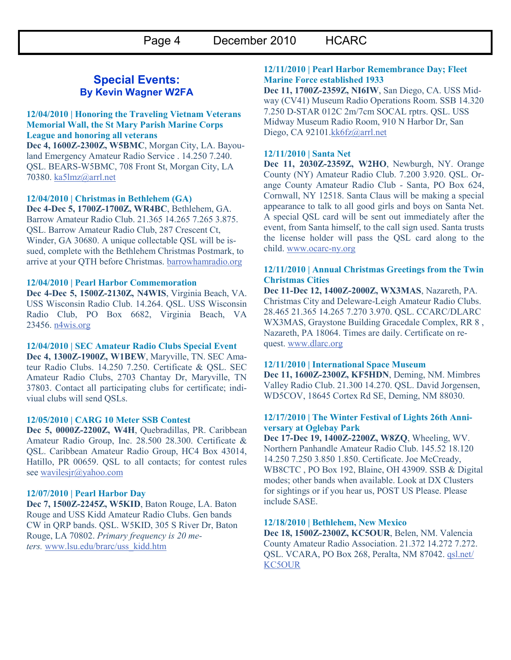Page 4 December 2010 HCARC

## **Special Events: By Kevin Wagner W2FA**

#### **12/04/2010 | Honoring the Traveling Vietnam Veterans Memorial Wall, the St Mary Parish Marine Corps League and honoring all veterans**

**Dec 4, 1600Z-2300Z, W5BMC**, Morgan City, LA. Bayouland Emergency Amateur Radio Service . 14.250 7.240. QSL. BEARS-W5BMC, 708 Front St, Morgan City, LA 70380. [ka5lmz@arrl.net](mailto:)

#### **12/04/2010 | Christmas in Bethlehem (GA)**

**Dec 4-Dec 5, 1700Z-1700Z, WR4BC**, Bethlehem, GA. Barrow Amateur Radio Club. 21.365 14.265 7.265 3.875. QSL. Barrow Amateur Radio Club, 287 Crescent Ct, Winder, GA 30680. A unique collectable QSL will be issued, complete with the Bethlehem Christmas Postmark, to arrive at your QTH before Christmas. [barrowhamradio.org](http://barrowhamradio.org/)

#### **12/04/2010 | Pearl Harbor Commemoration**

**Dec 4-Dec 5, 1500Z-2130Z, N4WIS**, Virginia Beach, VA. USS Wisconsin Radio Club. 14.264. QSL. USS Wisconsin Radio Club, PO Box 6682, Virginia Beach, VA 23456. [n4wis.org](http://n4wis.org/)

#### **12/04/2010 | SEC Amateur Radio Clubs Special Event**

**Dec 4, 1300Z-1900Z, W1BEW**, Maryville, TN. SEC Amateur Radio Clubs. 14.250 7.250. Certificate & QSL. SEC Amateur Radio Clubs, 2703 Chantay Dr, Maryville, TN 37803. Contact all participating clubs for certificate; indiviual clubs will send QSLs.

#### **12/05/2010 | CARG 10 Meter SSB Contest**

**Dec 5, 0000Z-2200Z, W4H**, Quebradillas, PR. Caribbean Amateur Radio Group, Inc. 28.500 28.300. Certificate & QSL. Caribbean Amateur Radio Group, HC4 Box 43014, Hatillo, PR 00659. QSL to all contacts; for contest rules see [wavilesjr@yahoo.com](mailto:)

#### **12/07/2010 | Pearl Harbor Day**

**Dec 7, 1500Z-2245Z, W5KID**, Baton Rouge, LA. Baton Rouge and USS Kidd Amateur Radio Clubs. Gen bands CW in QRP bands. QSL. W5KID, 305 S River Dr, Baton Rouge, LA 70802. *Primary frequency is 20 meters.* [www.lsu.edu/brarc/uss\\_kidd.htm](http://www.lsu.edu/brarc/uss_kidd.htm)

#### **12/11/2010 | Pearl Harbor Remembrance Day; Fleet Marine Force established 1933**

**Dec 11, 1700Z-2359Z, NI6IW**, San Diego, CA. USS Midway (CV41) Museum Radio Operations Room. SSB 14.320 7.250 D-STAR 012C 2m/7cm SOCAL rptrs. QSL. USS Midway Museum Radio Room, 910 N Harbor Dr, San Diego, CA 92101.[kk6fz@arrl.net](mailto:)

#### **12/11/2010 | Santa Net**

**Dec 11, 2030Z-2359Z, W2HO**, Newburgh, NY. Orange County (NY) Amateur Radio Club. 7.200 3.920. QSL. Orange County Amateur Radio Club - Santa, PO Box 624, Cornwall, NY 12518. Santa Claus will be making a special appearance to talk to all good girls and boys on Santa Net. A special QSL card will be sent out immediately after the event, from Santa himself, to the call sign used. Santa trusts the license holder will pass the QSL card along to the child. [www.ocarc-ny.org](http://www.ocarc-ny.org/)

#### **12/11/2010 | Annual Christmas Greetings from the Twin Christmas Cities**

**Dec 11-Dec 12, 1400Z-2000Z, WX3MAS**, Nazareth, PA. Christmas City and Deleware-Leigh Amateur Radio Clubs. 28.465 21.365 14.265 7.270 3.970. QSL. CCARC/DLARC WX3MAS, Graystone Building Gracedale Complex, RR 8 , Nazareth, PA 18064. Times are daily. Certificate on request. [www.dlarc.org](http://www.dlarc.org/)

#### **12/11/2010 | International Space Museum**

**Dec 11, 1600Z-2300Z, KF5HDN**, Deming, NM. Mimbres Valley Radio Club. 21.300 14.270. QSL. David Jorgensen, WD5COV, 18645 Cortex Rd SE, Deming, NM 88030.

#### **12/17/2010 | The Winter Festival of Lights 26th Anniversary at Oglebay Park**

**Dec 17-Dec 19, 1400Z-2200Z, W8ZQ**, Wheeling, WV. Northern Panhandle Amateur Radio Club. 145.52 18.120 14.250 7.250 3.850 1.850. Certificate. Joe McCready, WB8CTC , PO Box 192, Blaine, OH 43909. SSB & Digital modes; other bands when available. Look at DX Clusters for sightings or if you hear us, POST US Please. Please include SASE.

#### **12/18/2010 | Bethlehem, New Mexico**

**Dec 18, 1500Z-2300Z, KC5OUR**, Belen, NM. Valencia County Amateur Radio Association. 21.372 14.272 7.272. QSL. VCARA, PO Box 268, Peralta, NM 87042. [qsl.net/](http://qsl.net/KC5OUR) [KC5OUR](http://qsl.net/KC5OUR)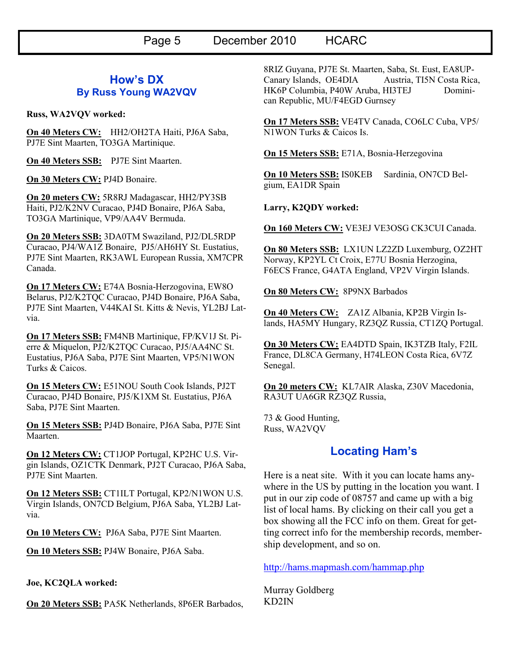Page 5 December 2010 HCARC

## **How's DX By Russ Young WA2VQV**

**Russ, WA2VQV worked:**

**On 40 Meters CW:** HH2/OH2TA Haiti, PJ6A Saba, PJ7E Sint Maarten, TO3GA Martinique.

**On 40 Meters SSB:** PJ7E Sint Maarten.

**On 30 Meters CW:** PJ4D Bonaire.

**On 20 meters CW:** 5R8RJ Madagascar, HH2/PY3SB Haiti, PJ2/K2NV Curacao, PJ4D Bonaire, PJ6A Saba, TO3GA Martinique, VP9/AA4V Bermuda.

**On 20 Meters SSB:** 3DA0TM Swaziland, PJ2/DL5RDP Curacao, PJ4/WA1Z Bonaire, PJ5/AH6HY St. Eustatius, PJ7E Sint Maarten, RK3AWL European Russia, XM7CPR Canada.

**On 17 Meters CW:** E74A Bosnia-Herzogovina, EW8O Belarus, PJ2/K2TQC Curacao, PJ4D Bonaire, PJ6A Saba, PJ7E Sint Maarten, V44KAI St. Kitts & Nevis, YL2BJ Latvia.

**On 17 Meters SSB:** FM4NB Martinique, FP/KV1J St. Pierre & Miquelon, PJ2/K2TQC Curacao, PJ5/AA4NC St. Eustatius, PJ6A Saba, PJ7E Sint Maarten, VP5/N1WON Turks & Caicos.

**On 15 Meters CW:** E51NOU South Cook Islands, PJ2T Curacao, PJ4D Bonaire, PJ5/K1XM St. Eustatius, PJ6A Saba, PJ7E Sint Maarten.

**On 15 Meters SSB:** PJ4D Bonaire, PJ6A Saba, PJ7E Sint Maarten.

**On 12 Meters CW:** CT1JOP Portugal, KP2HC U.S. Virgin Islands, OZ1CTK Denmark, PJ2T Curacao, PJ6A Saba, PJ7E Sint Maarten.

**On 12 Meters SSB:** CT1ILT Portugal, KP2/N1WON U.S. Virgin Islands, ON7CD Belgium, PJ6A Saba, YL2BJ Latvia.

**On 10 Meters CW:** PJ6A Saba, PJ7E Sint Maarten.

**On 10 Meters SSB:** PJ4W Bonaire, PJ6A Saba.

**Joe, KC2QLA worked:**

**On 20 Meters SSB:** PA5K Netherlands, 8P6ER Barbados,

8RIZ Guyana, PJ7E St. Maarten, Saba, St. Eust, EA8UP-Canary Islands, OE4DIA Austria, TI5N Costa Rica, HK6P Columbia, P40W Aruba, HI3TEJ Dominican Republic, MU/F4EGD Gurnsey

**On 17 Meters SSB:** VE4TV Canada, CO6LC Cuba, VP5/ N1WON Turks & Caicos Is.

**On 15 Meters SSB:** E71A, Bosnia-Herzegovina

**On 10 Meters SSB:** IS0KEB Sardinia, ON7CD Belgium, EA1DR Spain

**Larry, K2QDY worked:**

**On 160 Meters CW:** VE3EJ VE3OSG CK3CUI Canada.

**On 80 Meters SSB:** LX1UN LZ2ZD Luxemburg, OZ2HT Norway, KP2YL Ct Croix, E77U Bosnia Herzogina, F6ECS France, G4ATA England, VP2V Virgin Islands.

**On 80 Meters CW:** 8P9NX Barbados

**On 40 Meters CW:** ZA1Z Albania, KP2B Virgin Islands, HA5MY Hungary, RZ3QZ Russia, CT1ZQ Portugal.

**On 30 Meters CW:** EA4DTD Spain, IK3TZB Italy, F2IL France, DL8CA Germany, H74LEON Costa Rica, 6V7Z Senegal.

**On 20 meters CW:** KL7AIR Alaska, Z30V Macedonia, RA3UT UA6GR RZ3QZ Russia,

73 & Good Hunting, Russ, WA2VQV

## **Locating Ham's**

Here is a neat site. With it you can locate hams anywhere in the US by putting in the location you want. I put in our zip code of 08757 and came up with a big list of local hams. By clicking on their call you get a box showing all the FCC info on them. Great for getting correct info for the membership records, membership development, and so on.

<http://hams.mapmash.com/hammap.php>

Murray Goldberg KD2IN